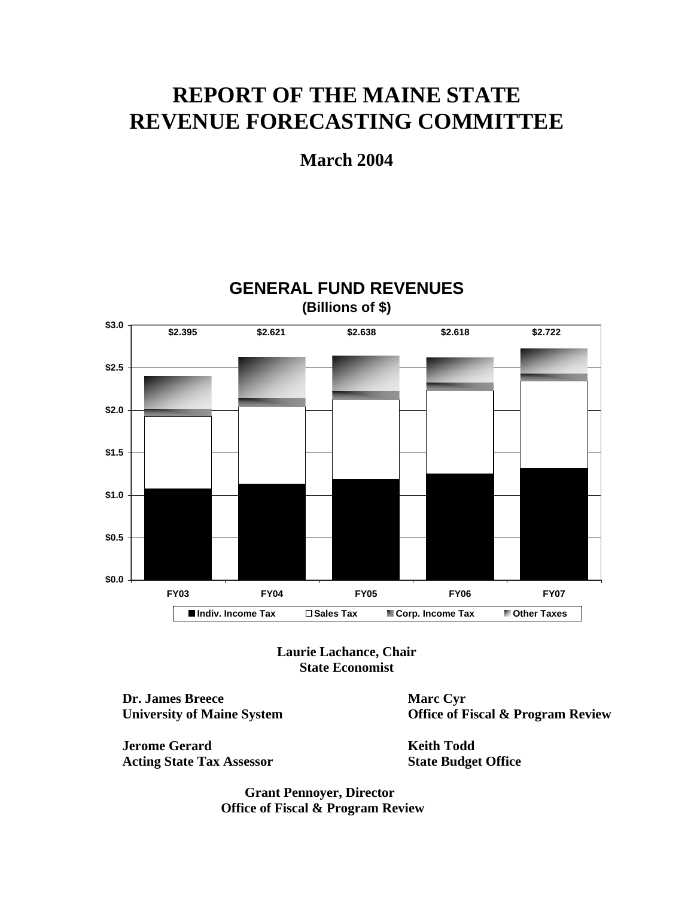# **REPORT OF THE MAINE STATE REVENUE FORECASTING COMMITTEE**

**March 2004** 



**GENERAL FUND REVENUES**

**Laurie Lachance, Chair State Economist** 

**Dr. James Breece Marc Cyr** 

**Jerome Gerard Keith Todd** Acting State Tax Assessor **State Budget Office** 

**University of Maine System Conservation Conservation Conservation Conservation Conservation Conservation Conservation Conservation Conservation Conservation Conservation Conservation Conservation Conservation Conservation** 

 **Grant Pennoyer, Director Office of Fiscal & Program Review**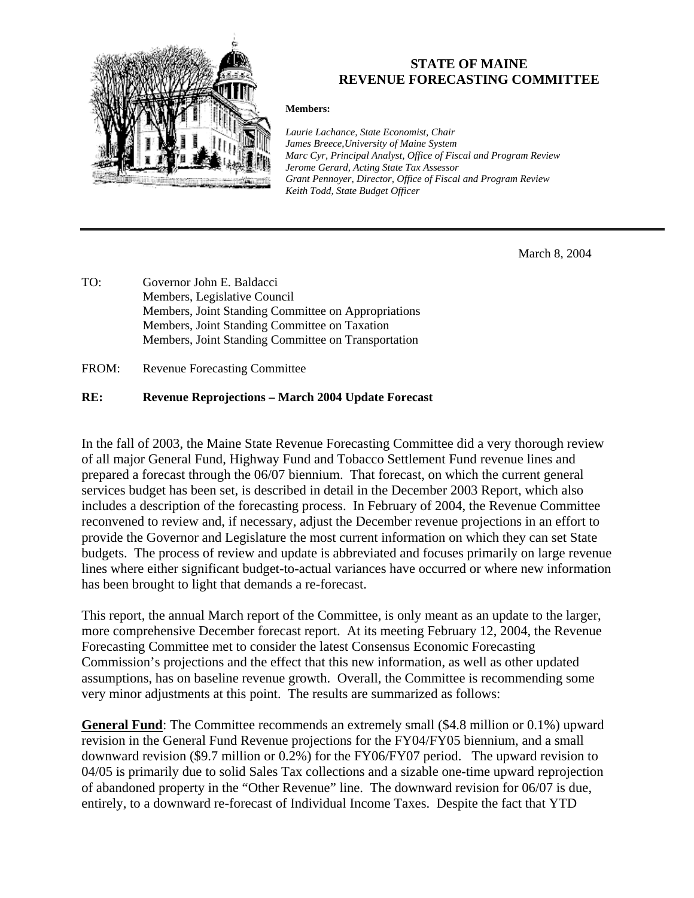

### **STATE OF MAINE REVENUE FORECASTING COMMITTEE**

#### **Members:**

*Laurie Lachance, State Economist, Chair James Breece,University of Maine System Marc Cyr, Principal Analyst, Office of Fiscal and Program Review Jerome Gerard, Acting State Tax Assessor Grant Pennoyer, Director, Office of Fiscal and Program Review Keith Todd, State Budget Officer*

March 8, 2004

TO: Governor John E. Baldacci Members, Legislative Council Members, Joint Standing Committee on Appropriations Members, Joint Standing Committee on Taxation Members, Joint Standing Committee on Transportation

FROM: Revenue Forecasting Committee

#### **RE: Revenue Reprojections – March 2004 Update Forecast**

In the fall of 2003, the Maine State Revenue Forecasting Committee did a very thorough review of all major General Fund, Highway Fund and Tobacco Settlement Fund revenue lines and prepared a forecast through the 06/07 biennium. That forecast, on which the current general services budget has been set, is described in detail in the December 2003 Report, which also includes a description of the forecasting process. In February of 2004, the Revenue Committee reconvened to review and, if necessary, adjust the December revenue projections in an effort to provide the Governor and Legislature the most current information on which they can set State budgets. The process of review and update is abbreviated and focuses primarily on large revenue lines where either significant budget-to-actual variances have occurred or where new information has been brought to light that demands a re-forecast.

This report, the annual March report of the Committee, is only meant as an update to the larger, more comprehensive December forecast report. At its meeting February 12, 2004, the Revenue Forecasting Committee met to consider the latest Consensus Economic Forecasting Commission's projections and the effect that this new information, as well as other updated assumptions, has on baseline revenue growth. Overall, the Committee is recommending some very minor adjustments at this point. The results are summarized as follows:

**General Fund**: The Committee recommends an extremely small (\$4.8 million or 0.1%) upward revision in the General Fund Revenue projections for the FY04/FY05 biennium, and a small downward revision (\$9.7 million or 0.2%) for the FY06/FY07 period. The upward revision to 04/05 is primarily due to solid Sales Tax collections and a sizable one-time upward reprojection of abandoned property in the "Other Revenue" line. The downward revision for 06/07 is due, entirely, to a downward re-forecast of Individual Income Taxes. Despite the fact that YTD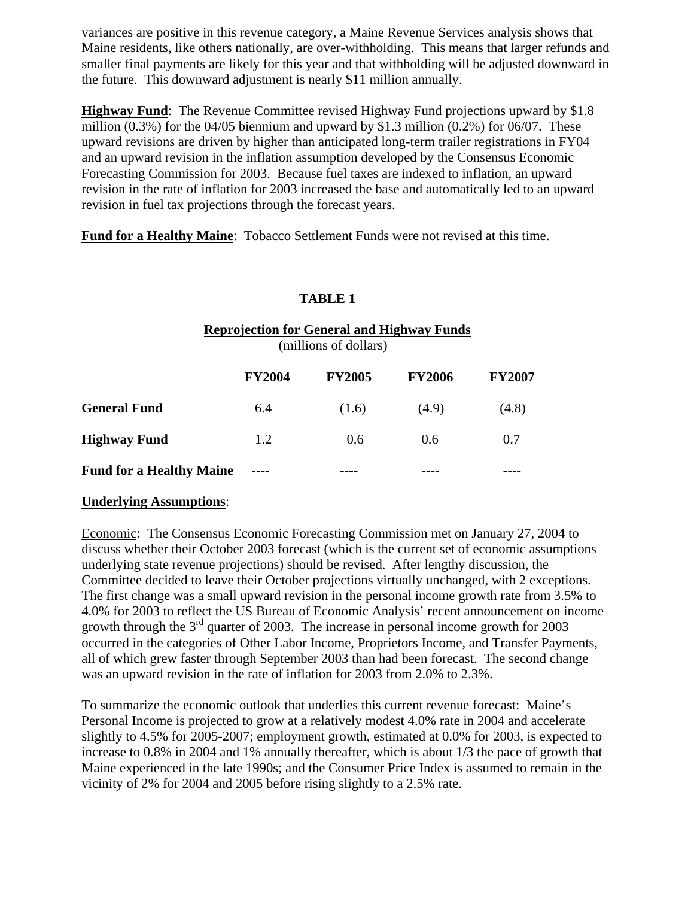variances are positive in this revenue category, a Maine Revenue Services analysis shows that Maine residents, like others nationally, are over-withholding. This means that larger refunds and smaller final payments are likely for this year and that withholding will be adjusted downward in the future. This downward adjustment is nearly \$11 million annually.

**Highway Fund**: The Revenue Committee revised Highway Fund projections upward by \$1.8 million (0.3%) for the 04/05 biennium and upward by \$1.3 million (0.2%) for 06/07. These upward revisions are driven by higher than anticipated long-term trailer registrations in FY04 and an upward revision in the inflation assumption developed by the Consensus Economic Forecasting Commission for 2003. Because fuel taxes are indexed to inflation, an upward revision in the rate of inflation for 2003 increased the base and automatically led to an upward revision in fuel tax projections through the forecast years.

**Fund for a Healthy Maine**: Tobacco Settlement Funds were not revised at this time.

#### **TABLE 1**

|                                 | <b>Reprojection for General and Highway Funds</b><br>(millions of dollars) |               |               |               |  |  |  |  |  |  |  |  |
|---------------------------------|----------------------------------------------------------------------------|---------------|---------------|---------------|--|--|--|--|--|--|--|--|
|                                 | <b>FY2004</b>                                                              | <b>FY2005</b> | <b>FY2006</b> | <b>FY2007</b> |  |  |  |  |  |  |  |  |
| <b>General Fund</b>             | 6.4                                                                        | (1.6)         | (4.9)         | (4.8)         |  |  |  |  |  |  |  |  |
| <b>Highway Fund</b>             | 1.2                                                                        | $0.6^{\circ}$ | 0.6           | 0.7           |  |  |  |  |  |  |  |  |
| <b>Fund for a Healthy Maine</b> |                                                                            |               |               |               |  |  |  |  |  |  |  |  |

#### **Underlying Assumptions**:

Economic: The Consensus Economic Forecasting Commission met on January 27, 2004 to discuss whether their October 2003 forecast (which is the current set of economic assumptions underlying state revenue projections) should be revised. After lengthy discussion, the Committee decided to leave their October projections virtually unchanged, with 2 exceptions. The first change was a small upward revision in the personal income growth rate from 3.5% to 4.0% for 2003 to reflect the US Bureau of Economic Analysis' recent announcement on income growth through the  $3<sup>rd</sup>$  quarter of 2003. The increase in personal income growth for 2003 occurred in the categories of Other Labor Income, Proprietors Income, and Transfer Payments, all of which grew faster through September 2003 than had been forecast. The second change was an upward revision in the rate of inflation for 2003 from 2.0% to 2.3%.

To summarize the economic outlook that underlies this current revenue forecast: Maine's Personal Income is projected to grow at a relatively modest 4.0% rate in 2004 and accelerate slightly to 4.5% for 2005-2007; employment growth, estimated at 0.0% for 2003, is expected to increase to 0.8% in 2004 and 1% annually thereafter, which is about 1/3 the pace of growth that Maine experienced in the late 1990s; and the Consumer Price Index is assumed to remain in the vicinity of 2% for 2004 and 2005 before rising slightly to a 2.5% rate.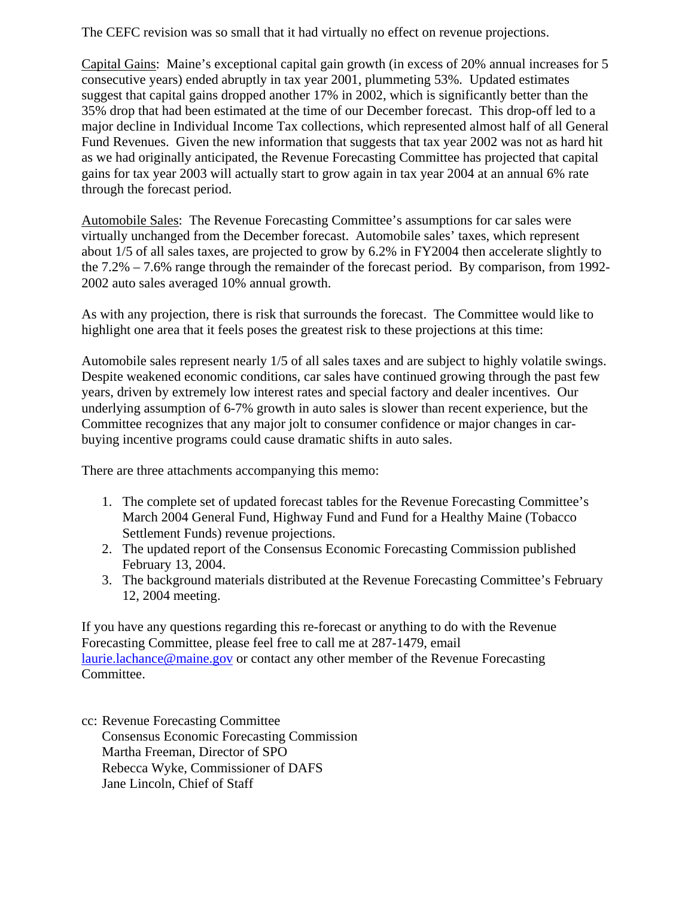The CEFC revision was so small that it had virtually no effect on revenue projections.

Capital Gains: Maine's exceptional capital gain growth (in excess of 20% annual increases for 5 consecutive years) ended abruptly in tax year 2001, plummeting 53%. Updated estimates suggest that capital gains dropped another 17% in 2002, which is significantly better than the 35% drop that had been estimated at the time of our December forecast. This drop-off led to a major decline in Individual Income Tax collections, which represented almost half of all General Fund Revenues. Given the new information that suggests that tax year 2002 was not as hard hit as we had originally anticipated, the Revenue Forecasting Committee has projected that capital gains for tax year 2003 will actually start to grow again in tax year 2004 at an annual 6% rate through the forecast period.

Automobile Sales: The Revenue Forecasting Committee's assumptions for car sales were virtually unchanged from the December forecast. Automobile sales' taxes, which represent about 1/5 of all sales taxes, are projected to grow by 6.2% in FY2004 then accelerate slightly to the 7.2% – 7.6% range through the remainder of the forecast period. By comparison, from 1992- 2002 auto sales averaged 10% annual growth.

As with any projection, there is risk that surrounds the forecast. The Committee would like to highlight one area that it feels poses the greatest risk to these projections at this time:

Automobile sales represent nearly 1/5 of all sales taxes and are subject to highly volatile swings. Despite weakened economic conditions, car sales have continued growing through the past few years, driven by extremely low interest rates and special factory and dealer incentives. Our underlying assumption of 6-7% growth in auto sales is slower than recent experience, but the Committee recognizes that any major jolt to consumer confidence or major changes in carbuying incentive programs could cause dramatic shifts in auto sales.

There are three attachments accompanying this memo:

- 1. The complete set of updated forecast tables for the Revenue Forecasting Committee's March 2004 General Fund, Highway Fund and Fund for a Healthy Maine (Tobacco Settlement Funds) revenue projections.
- 2. The updated report of the Consensus Economic Forecasting Commission published February 13, 2004.
- 3. The background materials distributed at the Revenue Forecasting Committee's February 12, 2004 meeting.

If you have any questions regarding this re-forecast or anything to do with the Revenue Forecasting Committee, please feel free to call me at 287-1479, email laurie.lachance@maine.gov or contact any other member of the Revenue Forecasting Committee.

cc: Revenue Forecasting Committee Consensus Economic Forecasting Commission Martha Freeman, Director of SPO Rebecca Wyke, Commissioner of DAFS Jane Lincoln, Chief of Staff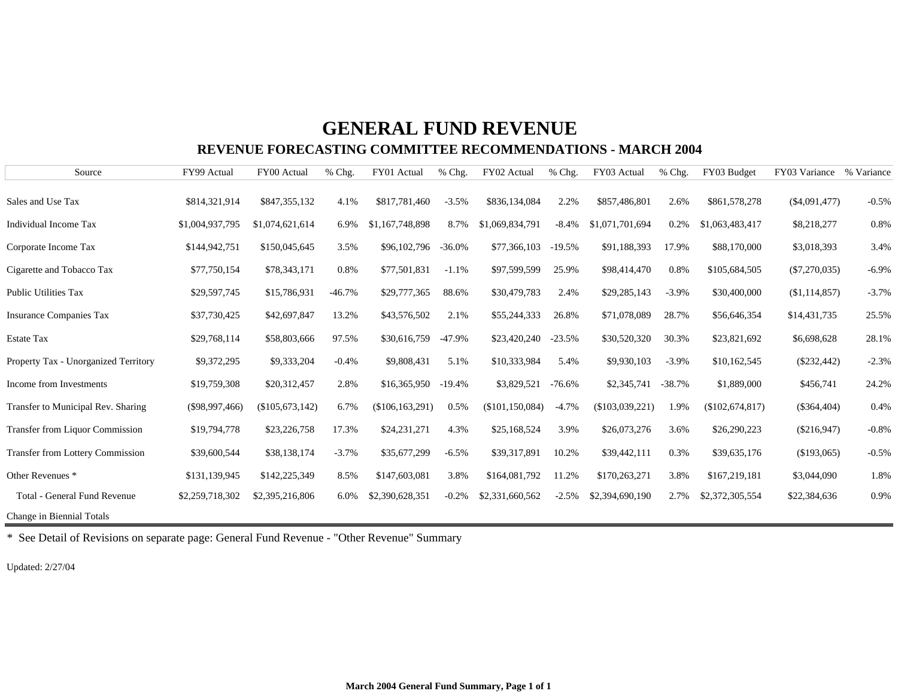## **GENERAL FUND REVENUE**

#### **REVENUE FORECASTING COMMITTEE RECOMMENDATIONS - MARCH 2004**

| Source                                  | FY99 Actual      | FY00 Actual       | % Chg.   | FY01 Actual       | % Chg.   | FY02 Actual       | % Chg.    | FY03 Actual       | % Chg.   | FY03 Budget     | FY03 Variance   | % Variance |
|-----------------------------------------|------------------|-------------------|----------|-------------------|----------|-------------------|-----------|-------------------|----------|-----------------|-----------------|------------|
| Sales and Use Tax                       | \$814,321,914    | \$847,355,132     | 4.1%     | \$817,781,460     | $-3.5%$  | \$836,134,084     | 2.2%      | \$857,486,801     | 2.6%     | \$861,578,278   | $(\$4,091,477)$ | $-0.5%$    |
| <b>Individual Income Tax</b>            | \$1,004,937,795  | \$1,074,621,614   | 6.9%     | \$1,167,748,898   | 8.7%     | \$1,069,834,791   | $-8.4%$   | \$1,071,701,694   | 0.2%     | \$1,063,483,417 | \$8,218,277     | 0.8%       |
| Corporate Income Tax                    | \$144,942,751    | \$150,045,645     | 3.5%     | \$96,102,796      | $-36.0%$ | \$77,366,103      | $-19.5\%$ | \$91,188,393      | 17.9%    | \$88,170,000    | \$3,018,393     | 3.4%       |
| Cigarette and Tobacco Tax               | \$77,750,154     | \$78,343,171      | 0.8%     | \$77,501,831      | $-1.1%$  | \$97,599,599      | 25.9%     | \$98,414,470      | 0.8%     | \$105,684,505   | $(\$7,270,035)$ | $-6.9%$    |
| <b>Public Utilities Tax</b>             | \$29,597,745     | \$15,786,931      | $-46.7%$ | \$29,777,365      | 88.6%    | \$30,479,783      | 2.4%      | \$29,285,143      | $-3.9\%$ | \$30,400,000    | (\$1,114,857)   | $-3.7%$    |
| <b>Insurance Companies Tax</b>          | \$37,730,425     | \$42,697,847      | 13.2%    | \$43,576,502      | 2.1%     | \$55,244,333      | 26.8%     | \$71,078,089      | 28.7%    | \$56,646,354    | \$14,431,735    | 25.5%      |
| <b>Estate Tax</b>                       | \$29,768,114     | \$58,803,666      | 97.5%    | \$30,616,759      | $-47.9%$ | \$23,420,240      | $-23.5%$  | \$30,520,320      | 30.3%    | \$23,821,692    | \$6,698,628     | 28.1%      |
| Property Tax - Unorganized Territory    | \$9,372,295      | \$9,333,204       | $-0.4%$  | \$9,808,431       | 5.1%     | \$10,333,984      | 5.4%      | \$9,930,103       | $-3.9\%$ | \$10,162,545    | $(\$232,442)$   | $-2.3%$    |
| Income from Investments                 | \$19,759,308     | \$20,312,457      | 2.8%     | \$16,365,950      | $-19.4%$ | \$3,829,521       | $-76.6%$  | \$2,345,741       | $-38.7%$ | \$1,889,000     | \$456,741       | 24.2%      |
| Transfer to Municipal Rev. Sharing      | $(\$98,997,466)$ | $(\$105,673,142)$ | 6.7%     | (\$106, 163, 291) | 0.5%     | (\$101, 150, 084) | $-4.7%$   | $(\$103,039,221)$ | 1.9%     | (\$102,674,817) | $(\$364,404)$   | 0.4%       |
| <b>Transfer from Liquor Commission</b>  | \$19,794,778     | \$23,226,758      | 17.3%    | \$24,231,271      | 4.3%     | \$25,168,524      | 3.9%      | \$26,073,276      | 3.6%     | \$26,290,223    | $(\$216,947)$   | $-0.8%$    |
| <b>Transfer from Lottery Commission</b> | \$39,600,544     | \$38,138,174      | $-3.7%$  | \$35,677,299      | $-6.5%$  | \$39,317,891      | 10.2%     | \$39,442,111      | 0.3%     | \$39,635,176    | (\$193,065)     | $-0.5%$    |
| Other Revenues <sup>*</sup>             | \$131,139,945    | \$142,225,349     | 8.5%     | \$147,603,081     | 3.8%     | \$164,081,792     | 11.2%     | \$170,263,271     | 3.8%     | \$167,219,181   | \$3,044,090     | 1.8%       |
| Total - General Fund Revenue            | \$2,259,718,302  | \$2,395,216,806   | 6.0%     | \$2,390,628,351   | $-0.2%$  | \$2,331,660,562   | $-2.5%$   | \$2,394,690,190   | 2.7%     | \$2,372,305,554 | \$22,384,636    | 0.9%       |
| Change in Biennial Totals               |                  |                   |          |                   |          |                   |           |                   |          |                 |                 |            |

\* See Detail of Revisions on separate page: General Fund Revenue - "Other Revenue" Summar y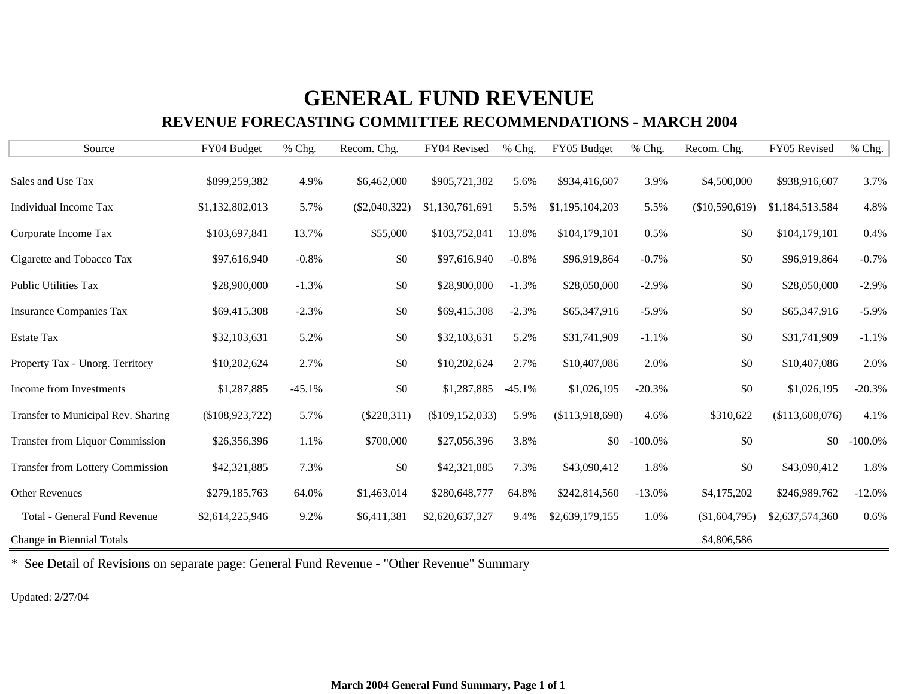# **GENERAL FUND REVENUE**

#### **REVENUE FORECASTING COMMITTEE RECOMMENDATIONS - MARCH 2004**

| Source                                  | FY04 Budget     | % Chg.   | Recom. Chg.     | FY04 Revised      | % Chg.   | FY05 Budget     | % Chg.     | Recom. Chg.    | FY05 Revised    | % Chg.     |
|-----------------------------------------|-----------------|----------|-----------------|-------------------|----------|-----------------|------------|----------------|-----------------|------------|
| Sales and Use Tax                       | \$899,259,382   | 4.9%     | \$6,462,000     | \$905,721,382     | 5.6%     | \$934,416,607   | 3.9%       | \$4,500,000    | \$938,916,607   | 3.7%       |
| Individual Income Tax                   | \$1,132,802,013 | 5.7%     | $(\$2,040,322)$ | \$1,130,761,691   | 5.5%     | \$1,195,104,203 | 5.5%       | (\$10,590,619) | \$1,184,513,584 | 4.8%       |
| Corporate Income Tax                    | \$103,697,841   | 13.7%    | \$55,000        | \$103,752,841     | 13.8%    | \$104,179,101   | 0.5%       | \$0            | \$104,179,101   | 0.4%       |
| Cigarette and Tobacco Tax               | \$97,616,940    | $-0.8%$  | \$0             | \$97,616,940      | $-0.8%$  | \$96,919,864    | $-0.7\%$   | \$0            | \$96,919,864    | $-0.7%$    |
| <b>Public Utilities Tax</b>             | \$28,900,000    | $-1.3%$  | \$0             | \$28,900,000      | $-1.3%$  | \$28,050,000    | $-2.9\%$   | \$0            | \$28,050,000    | $-2.9%$    |
| <b>Insurance Companies Tax</b>          | \$69,415,308    | $-2.3%$  | \$0             | \$69,415,308      | $-2.3%$  | \$65,347,916    | $-5.9\%$   | \$0            | \$65,347,916    | $-5.9%$    |
| <b>Estate Tax</b>                       | \$32,103,631    | 5.2%     | \$0             | \$32,103,631      | 5.2%     | \$31,741,909    | $-1.1%$    | \$0            | \$31,741,909    | $-1.1%$    |
| Property Tax - Unorg. Territory         | \$10,202,624    | 2.7%     | \$0             | \$10,202,624      | 2.7%     | \$10,407,086    | 2.0%       | \$0            | \$10,407,086    | 2.0%       |
| Income from Investments                 | \$1,287,885     | $-45.1%$ | \$0             | \$1,287,885       | $-45.1%$ | \$1,026,195     | $-20.3%$   | \$0            | \$1,026,195     | $-20.3%$   |
| Transfer to Municipal Rev. Sharing      | (\$108,923,722) | 5.7%     | $(\$228,311)$   | (\$109, 152, 033) | 5.9%     | (\$113,918,698) | 4.6%       | \$310,622      | (\$113,608,076) | 4.1%       |
| Transfer from Liquor Commission         | \$26,356,396    | 1.1%     | \$700,000       | \$27,056,396      | 3.8%     | \$0             | $-100.0\%$ | \$0            | \$0             | $-100.0\%$ |
| <b>Transfer from Lottery Commission</b> | \$42,321,885    | 7.3%     | \$0             | \$42,321,885      | 7.3%     | \$43,090,412    | 1.8%       | \$0            | \$43,090,412    | 1.8%       |
| <b>Other Revenues</b>                   | \$279,185,763   | 64.0%    | \$1,463,014     | \$280,648,777     | 64.8%    | \$242,814,560   | $-13.0%$   | \$4,175,202    | \$246,989,762   | $-12.0%$   |
| Total - General Fund Revenue            | \$2,614,225,946 | 9.2%     | \$6,411,381     | \$2,620,637,327   | 9.4%     | \$2,639,179,155 | 1.0%       | (\$1,604,795)  | \$2,637,574,360 | 0.6%       |
| Change in Biennial Totals               |                 |          |                 |                   |          |                 |            | \$4,806,586    |                 |            |

\* See Detail of Revisions on separate page: General Fund Revenue - "Other Revenue" Summar y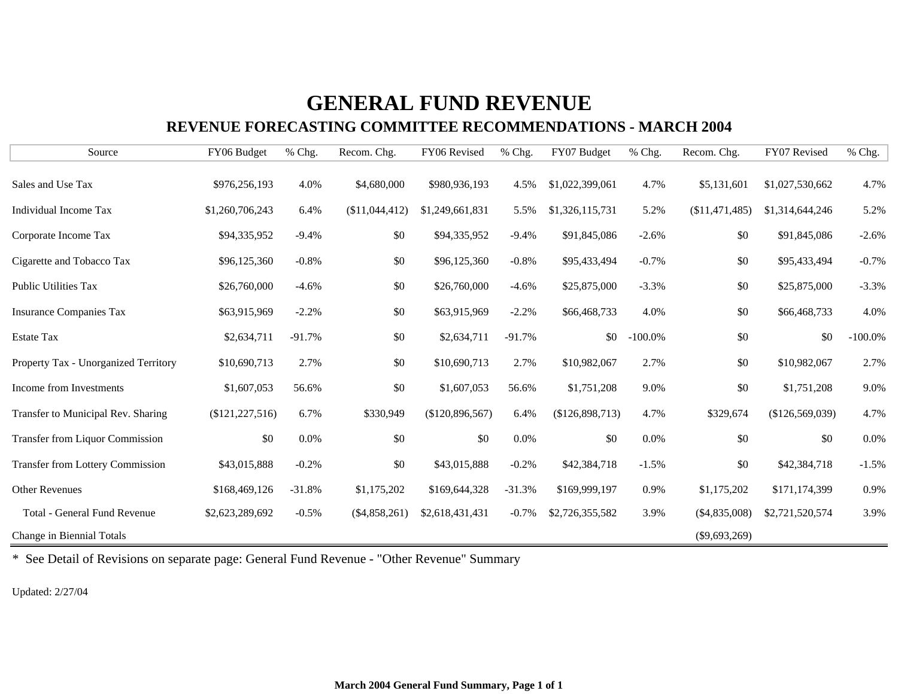# **GENERAL FUND REVENUE**

#### **REVENUE FORECASTING COMMITTEE RECOMMENDATIONS - MARCH 2004**

| Source                                  | FY06 Budget       | % Chg.   | Recom. Chg.     | FY06 Revised    | % Chg.   | FY07 Budget     | % Chg.     | Recom. Chg.     | FY07 Revised    | % Chg.     |
|-----------------------------------------|-------------------|----------|-----------------|-----------------|----------|-----------------|------------|-----------------|-----------------|------------|
| Sales and Use Tax                       | \$976,256,193     | 4.0%     | \$4,680,000     | \$980,936,193   | 4.5%     | \$1,022,399,061 | 4.7%       | \$5,131,601     | \$1,027,530,662 | 4.7%       |
| Individual Income Tax                   | \$1,260,706,243   | 6.4%     | (\$11,044,412)  | \$1,249,661,831 | 5.5%     | \$1,326,115,731 | 5.2%       | (\$11,471,485)  | \$1,314,644,246 | 5.2%       |
| Corporate Income Tax                    | \$94,335,952      | $-9.4%$  | \$0             | \$94,335,952    | $-9.4%$  | \$91,845,086    | $-2.6%$    | \$0             | \$91,845,086    | $-2.6%$    |
| Cigarette and Tobacco Tax               | \$96,125,360      | $-0.8%$  | \$0             | \$96,125,360    | $-0.8%$  | \$95,433,494    | $-0.7%$    | \$0             | \$95,433,494    | $-0.7%$    |
| <b>Public Utilities Tax</b>             | \$26,760,000      | $-4.6%$  | \$0             | \$26,760,000    | $-4.6%$  | \$25,875,000    | $-3.3%$    | \$0             | \$25,875,000    | $-3.3%$    |
| <b>Insurance Companies Tax</b>          | \$63,915,969      | $-2.2%$  | \$0             | \$63,915,969    | $-2.2%$  | \$66,468,733    | 4.0%       | \$0             | \$66,468,733    | 4.0%       |
| <b>Estate Tax</b>                       | \$2,634,711       | $-91.7%$ | \$0             | \$2,634,711     | $-91.7%$ | \$0             | $-100.0\%$ | \$0             | \$0             | $-100.0\%$ |
| Property Tax - Unorganized Territory    | \$10,690,713      | 2.7%     | \$0             | \$10,690,713    | 2.7%     | \$10,982,067    | 2.7%       | \$0             | \$10,982,067    | 2.7%       |
| Income from Investments                 | \$1,607,053       | 56.6%    | \$0             | \$1,607,053     | 56.6%    | \$1,751,208     | 9.0%       | \$0             | \$1,751,208     | 9.0%       |
| Transfer to Municipal Rev. Sharing      | (\$121, 227, 516) | 6.7%     | \$330,949       | (\$120,896,567) | 6.4%     | (\$126,898,713) | 4.7%       | \$329,674       | (\$126,569,039) | 4.7%       |
| <b>Transfer from Liquor Commission</b>  | \$0               | 0.0%     | \$0             | \$0             | 0.0%     | \$0             | 0.0%       | \$0             | \$0             | 0.0%       |
| <b>Transfer from Lottery Commission</b> | \$43,015,888      | $-0.2%$  | \$0             | \$43,015,888    | $-0.2%$  | \$42,384,718    | $-1.5%$    | \$0             | \$42,384,718    | $-1.5%$    |
| <b>Other Revenues</b>                   | \$168,469,126     | $-31.8%$ | \$1,175,202     | \$169,644,328   | $-31.3%$ | \$169,999,197   | 0.9%       | \$1,175,202     | \$171,174,399   | 0.9%       |
| <b>Total - General Fund Revenue</b>     | \$2,623,289,692   | $-0.5%$  | $(\$4,858,261)$ | \$2,618,431,431 | $-0.7%$  | \$2,726,355,582 | 3.9%       | $(\$4,835,008)$ | \$2,721,520,574 | 3.9%       |
| Change in Biennial Totals               |                   |          |                 |                 |          |                 |            | $(\$9,693,269)$ |                 |            |

\* See Detail of Revisions on separate page: General Fund Revenue - "Other Revenue" Summary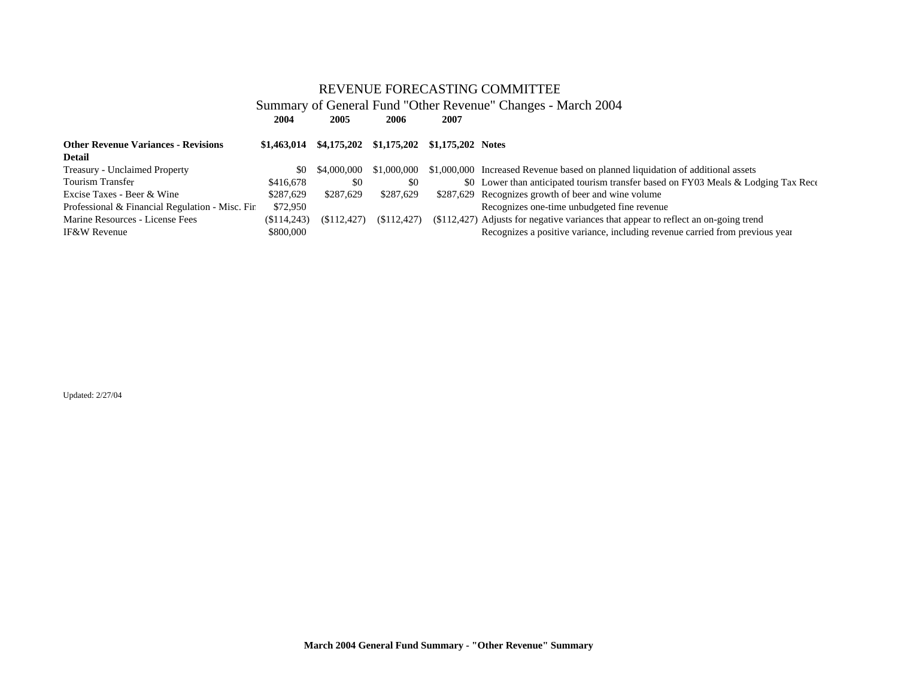#### **2004 2005 2006 2007**2007 Summary of General Fund "Other Revenue" Changes - March 2004 REVENUE FORECASTING COMMITTEE

| <b>Other Revenue Variances - Revisions</b><br><b>Detail</b> |                          |                 | $$1,463,014$ $$4,175,202$ $$1,175,202$ $$1,175,202$ Notes |                                                                                                                                                                       |
|-------------------------------------------------------------|--------------------------|-----------------|-----------------------------------------------------------|-----------------------------------------------------------------------------------------------------------------------------------------------------------------------|
| <b>Treasury - Unclaimed Property</b>                        |                          | \$0 \$4,000,000 | \$1,000,000                                               | \$1,000,000 Increased Revenue based on planned liquidation of additional assets                                                                                       |
| Tourism Transfer                                            | \$416,678                | - \$0           | \$0                                                       | \$0 Lower than anticipated tourism transfer based on FY03 Meals & Lodging Tax Rece                                                                                    |
| Excise Taxes - Beer & Wine                                  | \$287.629                | \$287.629       | \$287,629                                                 | \$287,629 Recognizes growth of beer and wine volume                                                                                                                   |
| Professional & Financial Regulation - Misc. Fir             | \$72,950                 |                 |                                                           | Recognizes one-time unbudgeted fine revenue                                                                                                                           |
| Marine Resources - License Fees<br><b>IF&amp;W Revenue</b>  | (S114, 243)<br>\$800,000 | (S112.427)      | (S112.427)                                                | $(\$112,427)$ Adjusts for negative variances that appear to reflect an on-going trend<br>Recognizes a positive variance, including revenue carried from previous year |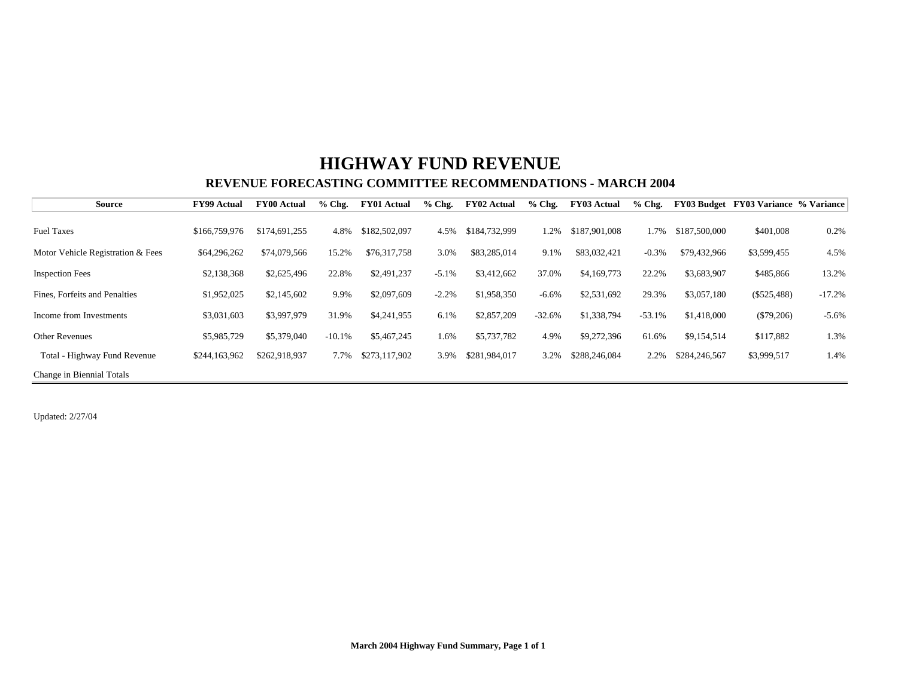### **REVENUE FORECASTING COMMITTEE RECOMMENDATIONS - MARCH 2004HIGHWAY FUND REVENUE**

| <b>Source</b>                     | <b>FY99 Actual</b> | <b>FY00 Actual</b> | $%$ Chg. | <b>FY01 Actual</b> | $%$ Chg. | <b>FY02 Actual</b> | $%$ Chg. | <b>FY03 Actual</b> | $%$ Chg. | FY03 Budget   | <b>FY03 Variance % Variance</b> |          |
|-----------------------------------|--------------------|--------------------|----------|--------------------|----------|--------------------|----------|--------------------|----------|---------------|---------------------------------|----------|
|                                   |                    |                    |          |                    |          |                    |          |                    |          |               |                                 |          |
| <b>Fuel Taxes</b>                 | \$166,759,976      | \$174,691,255      | 4.8%     | \$182,502,097      | 4.5%     | \$184,732,999      | 1.2%     | \$187,901,008      | 1.7%     | \$187,500,000 | \$401,008                       | 0.2%     |
| Motor Vehicle Registration & Fees | \$64,296,262       | \$74,079,566       | 15.2%    | \$76,317,758       | 3.0%     | \$83,285,014       | 9.1%     | \$83,032,421       | $-0.3%$  | \$79,432,966  | \$3,599,455                     | 4.5%     |
| <b>Inspection Fees</b>            | \$2,138,368        | \$2,625,496        | 22.8%    | \$2,491,237        | $-5.1%$  | \$3,412,662        | 37.0%    | \$4,169,773        | 22.2%    | \$3,683,907   | \$485,866                       | 13.2%    |
| Fines, Forfeits and Penalties     | \$1,952,025        | \$2,145,602        | 9.9%     | \$2,097,609        | $-2.2%$  | \$1,958,350        | $-6.6%$  | \$2,531,692        | 29.3%    | \$3,057,180   | $(\$525,488)$                   | $-17.2%$ |
| Income from Investments           | \$3,031,603        | \$3,997,979        | 31.9%    | \$4,241,955        | 6.1%     | \$2,857,209        | $-32.6%$ | \$1,338,794        | $-53.1%$ | \$1,418,000   | $(\$79,206)$                    | $-5.6\%$ |
| <b>Other Revenues</b>             | \$5,985,729        | \$5,379,040        | $-10.1%$ | \$5,467,245        | 1.6%     | \$5,737,782        | 4.9%     | \$9,272,396        | 61.6%    | \$9,154,514   | \$117,882                       | 1.3%     |
| Total - Highway Fund Revenue      | \$244,163,962      | \$262,918,937      | 7.7%     | \$273,117,902      | 3.9%     | \$281,984,017      | 3.2%     | \$288,246,084      | 2.2%     | \$284,246,567 | \$3,999,517                     | 1.4%     |
| Change in Biennial Totals         |                    |                    |          |                    |          |                    |          |                    |          |               |                                 |          |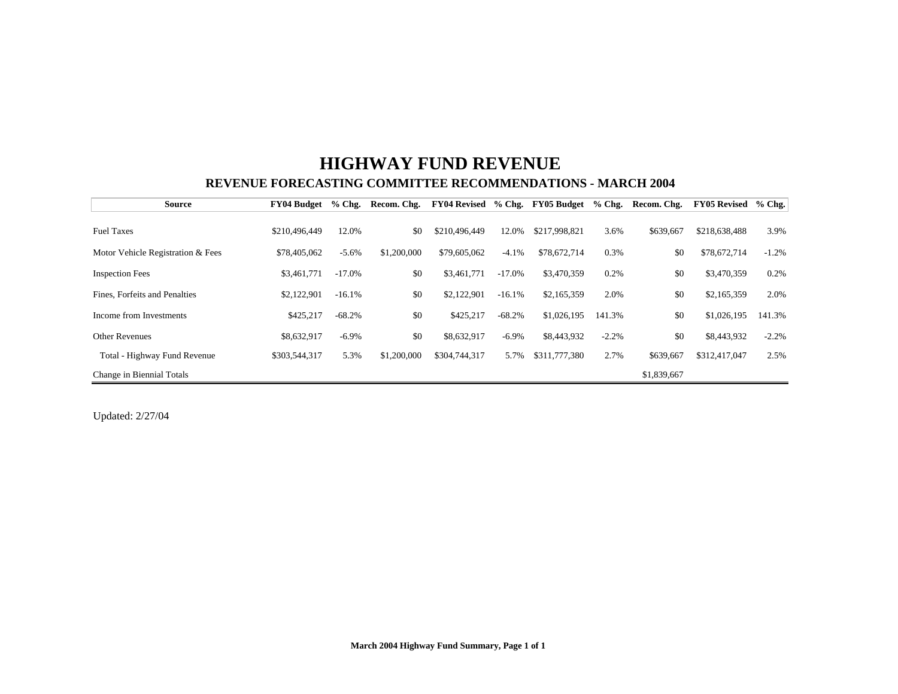## **HIGHWAY FUND REVENUE REVENUE FORECASTING COMMITTEE RECOMMENDATIONS - MARCH 2004**

| <b>Source</b>                     | FY04 Budget   | $%$ Chg. | Recom. Chg. | FY04 Revised % Chg. FY05 Budget |           |               | $%$ Chg. | Recom. Chg. | <b>FY05 Revised</b> | $%$ Chg. |
|-----------------------------------|---------------|----------|-------------|---------------------------------|-----------|---------------|----------|-------------|---------------------|----------|
|                                   |               |          |             |                                 |           |               |          |             |                     |          |
| <b>Fuel Taxes</b>                 | \$210,496,449 | 12.0%    | \$0         | \$210,496,449                   | 12.0%     | \$217,998,821 | 3.6%     | \$639,667   | \$218,638,488       | 3.9%     |
| Motor Vehicle Registration & Fees | \$78,405,062  | $-5.6%$  | \$1,200,000 | \$79,605,062                    | $-4.1\%$  | \$78,672,714  | 0.3%     | \$0         | \$78,672,714        | $-1.2%$  |
| <b>Inspection Fees</b>            | \$3,461,771   | $-17.0%$ | \$0         | \$3,461,771                     | $-17.0\%$ | \$3,470,359   | 0.2%     | \$0         | \$3,470,359         | 0.2%     |
| Fines, Forfeits and Penalties     | \$2,122,901   | $-16.1%$ | \$0         | \$2,122,901                     | $-16.1\%$ | \$2,165,359   | 2.0%     | \$0         | \$2,165,359         | 2.0%     |
| Income from Investments           | \$425,217     | $-68.2%$ | \$0         | \$425,217                       | $-68.2%$  | \$1,026,195   | 141.3%   | \$0         | \$1,026,195         | 141.3%   |
| <b>Other Revenues</b>             | \$8,632,917   | $-6.9\%$ | \$0         | \$8,632,917                     | $-6.9\%$  | \$8,443,932   | $-2.2%$  | \$0         | \$8,443,932         | $-2.2%$  |
| Total - Highway Fund Revenue      | \$303,544,317 | 5.3%     | \$1,200,000 | \$304,744,317                   | 5.7%      | \$311,777,380 | 2.7%     | \$639,667   | \$312,417,047       | 2.5%     |
| Change in Biennial Totals         |               |          |             |                                 |           |               |          | \$1,839,667 |                     |          |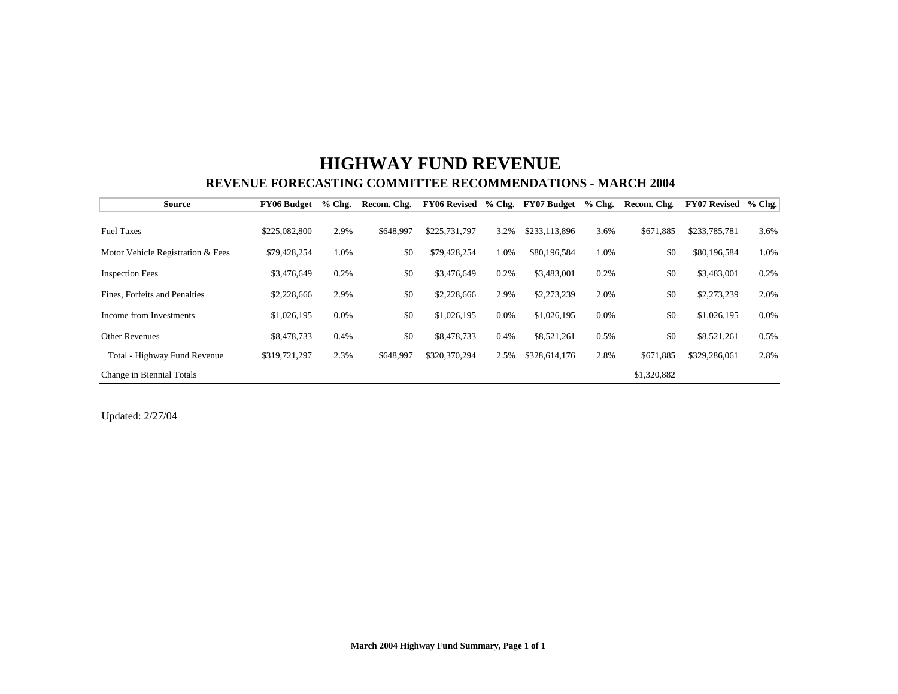## **HIGHWAY FUND REVENUE REVENUE FORECASTING COMMITTEE RECOMMENDATIONS - MARCH 2004**

| <b>Source</b>                     | <b>FY06 Budget</b> | $%$ Chg. | Recom. Chg. | <b>FY06 Revised</b> |         | % Chg. FY07 Budget | $%$ Chg. | Recom. Chg. | <b>FY07 Revised</b> | $%$ Chg. |
|-----------------------------------|--------------------|----------|-------------|---------------------|---------|--------------------|----------|-------------|---------------------|----------|
|                                   |                    |          |             |                     |         |                    |          |             |                     |          |
| <b>Fuel Taxes</b>                 | \$225,082,800      | 2.9%     | \$648,997   | \$225,731,797       | 3.2%    | \$233,113,896      | 3.6%     | \$671,885   | \$233,785,781       | 3.6%     |
| Motor Vehicle Registration & Fees | \$79,428,254       | 1.0%     | \$0         | \$79,428,254        | 1.0%    | \$80,196,584       | 1.0%     | \$0         | \$80,196,584        | 1.0%     |
| <b>Inspection Fees</b>            | \$3,476,649        | 0.2%     | \$0         | \$3,476,649         | 0.2%    | \$3,483,001        | 0.2%     | \$0         | \$3,483,001         | 0.2%     |
| Fines, Forfeits and Penalties     | \$2,228,666        | 2.9%     | \$0         | \$2,228,666         | 2.9%    | \$2,273,239        | 2.0%     | \$0         | \$2,273,239         | 2.0%     |
| Income from Investments           | \$1,026,195        | $0.0\%$  | \$0         | \$1,026,195         | $0.0\%$ | \$1,026,195        | $0.0\%$  | \$0         | \$1,026,195         | $0.0\%$  |
| <b>Other Revenues</b>             | \$8,478,733        | 0.4%     | \$0         | \$8,478,733         | 0.4%    | \$8,521,261        | 0.5%     | \$0         | \$8,521,261         | 0.5%     |
| Total - Highway Fund Revenue      | \$319,721,297      | 2.3%     | \$648,997   | \$320,370,294       | 2.5%    | \$328,614,176      | 2.8%     | \$671.885   | \$329,286,061       | 2.8%     |
| Change in Biennial Totals         |                    |          |             |                     |         |                    |          | \$1,320,882 |                     |          |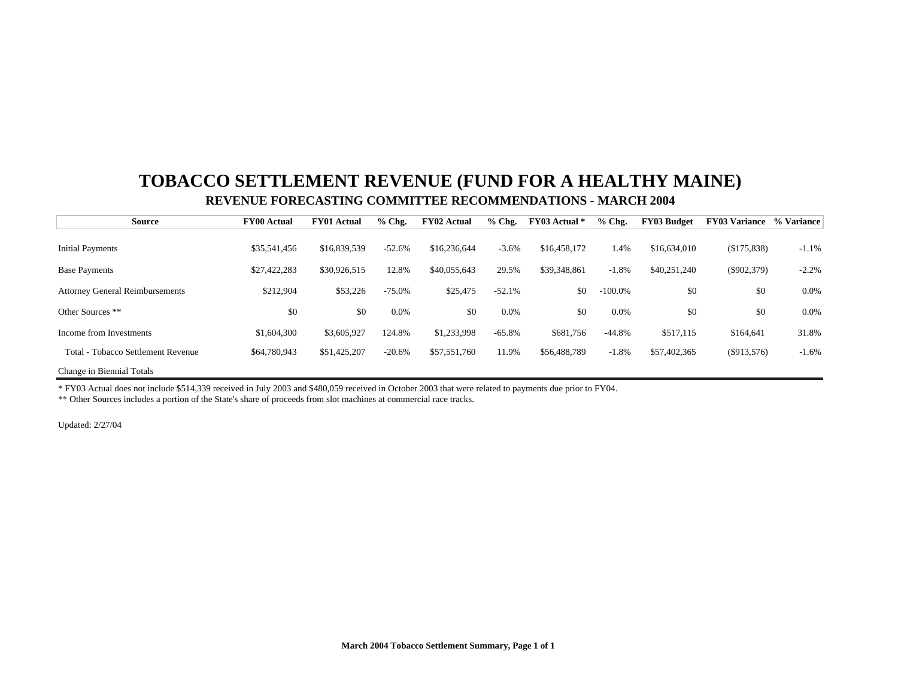## **TOBACCO SETTLEMENT REVENUE (FUND FOR A HEALTHY MAINE) REVENUE FORECASTING COMMITTEE RECOMMENDATIONS - MARCH 2004**

| <b>Source</b>                           | <b>FY00 Actual</b> | <b>FY01 Actual</b> | $%$ Chg.  | <b>FY02 Actual</b> | $%$ Chg. | FY03 Actual * | $%$ Chg.   | <b>FY03 Budget</b> | <b>FY03 Variance</b> % Variance |         |
|-----------------------------------------|--------------------|--------------------|-----------|--------------------|----------|---------------|------------|--------------------|---------------------------------|---------|
|                                         |                    |                    |           |                    |          |               |            |                    |                                 |         |
| <b>Initial Payments</b>                 | \$35,541,456       | \$16,839,539       | $-52.6%$  | \$16,236,644       | $-3.6%$  | \$16,458,172  | 1.4%       | \$16,634,010       | (\$175,838)                     | $-1.1%$ |
| <b>Base Payments</b>                    | \$27,422,283       | \$30,926,515       | 12.8%     | \$40,055,643       | 29.5%    | \$39,348,861  | $-1.8%$    | \$40,251,240       | $(\$902,379)$                   | $-2.2%$ |
| <b>Attorney General Reimbursements</b>  | \$212,904          | \$53,226           | $-75.0\%$ | \$25,475           | $-52.1%$ | \$0           | $-100.0\%$ | \$0                | \$0                             | $0.0\%$ |
| Other Sources **                        | \$0                | \$0                | $0.0\%$   | \$0                | 0.0%     | \$0           | 0.0%       | \$0                | \$0                             | 0.0%    |
| Income from Investments                 | \$1,604,300        | \$3,605,927        | 124.8%    | \$1,233,998        | $-65.8%$ | \$681,756     | $-44.8%$   | \$517,115          | \$164,641                       | 31.8%   |
| 1 - Tobacco Settlement Revenue<br>Total | \$64,780,943       | \$51,425,207       | $-20.6%$  | \$57,551,760       | 11.9%    | \$56,488,789  | $-1.8%$    | \$57,402,365       | (S913, 576)                     | $-1.6%$ |
| Change in Biennial Totals               |                    |                    |           |                    |          |               |            |                    |                                 |         |

\* FY03 Actual does not include \$514,339 received in July 2003 and \$480,059 received in October 2003 that were related to payments due prior to FY04.

\*\* Other Sources includes a portion of the State's share of proceeds from slot machines at commercial race tracks.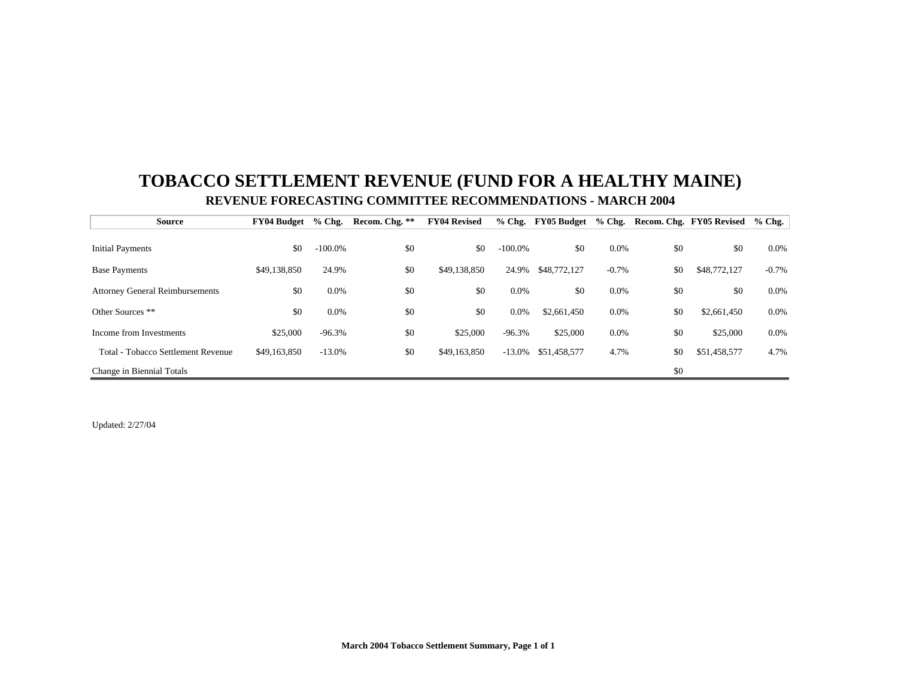## **TOBACCO SETTLEMENT REVENUE (FUND FOR A HEALTHY MAINE) REVENUE FORECASTING COMMITTEE RECOMMENDATIONS - MARCH 2004**

| <b>Source</b>                          | <b>FY04 Budget</b> | $%$ Chg.   | Recom. Chg. ** | <b>FY04 Revised</b> |            | % Chg. FY05 Budget | $%$ Chg. |     | Recom. Chg. FY05 Revised | $%$ Chg. |
|----------------------------------------|--------------------|------------|----------------|---------------------|------------|--------------------|----------|-----|--------------------------|----------|
|                                        |                    |            |                |                     |            |                    |          |     |                          |          |
| <b>Initial Payments</b>                | \$0                | $-100.0\%$ | \$0            | \$0                 | $-100.0\%$ | \$0                | 0.0%     | \$0 | \$0                      | $0.0\%$  |
| <b>Base Payments</b>                   | \$49,138,850       | 24.9%      | \$0            | \$49,138,850        | 24.9%      | \$48,772,127       | $-0.7%$  | \$0 | \$48,772,127             | $-0.7\%$ |
| <b>Attorney General Reimbursements</b> | \$0                | $0.0\%$    | \$0            | \$0                 | $0.0\%$    | \$0                | 0.0%     | \$0 | \$0                      | $0.0\%$  |
| Other Sources **                       | \$0                | $0.0\%$    | \$0            | \$0                 | 0.0%       | \$2,661,450        | 0.0%     | \$0 | \$2,661,450              | $0.0\%$  |
| Income from Investments                | \$25,000           | $-96.3%$   | \$0            | \$25,000            | $-96.3%$   | \$25,000           | 0.0%     | \$0 | \$25,000                 | $0.0\%$  |
| Total - Tobacco Settlement Revenue     | \$49,163,850       | $-13.0\%$  | \$0            | \$49,163,850        | $-13.0%$   | \$51,458,577       | 4.7%     | \$0 | \$51,458,577             | 4.7%     |
| Change in Biennial Totals              |                    |            |                |                     |            |                    |          | \$0 |                          |          |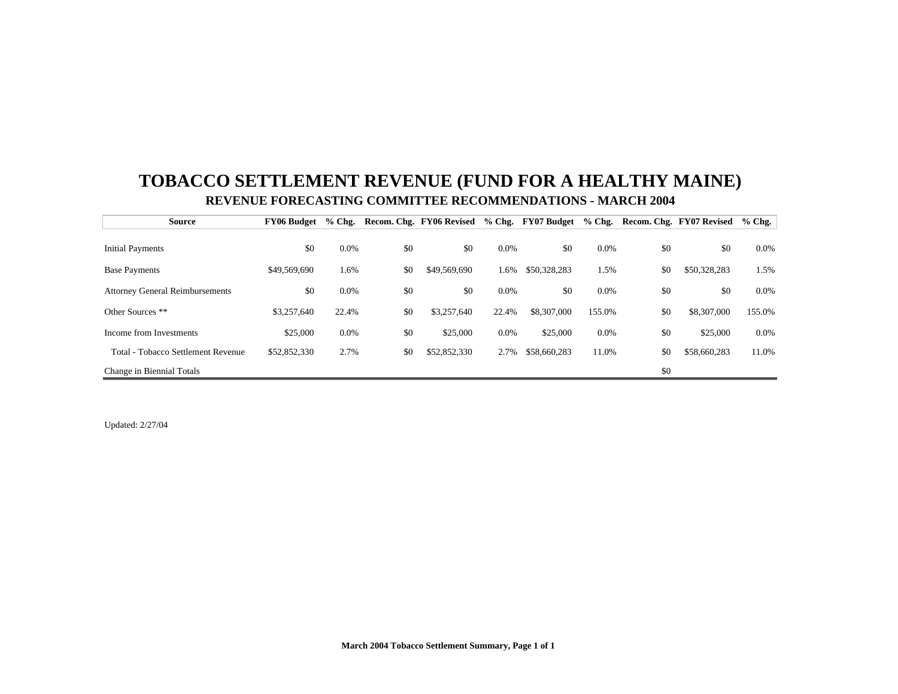## **TOBACCO SETTLEMENT REVENUE (FUND FOR A HEALTHY MAINE) REVENUE FORECASTING COMMITTEE RECOMMENDATIONS - MARCH 2004**

| <b>Source</b>                          | FY06 Budget  | $%$ Chg. |     | Recom. Chg. FY06 Revised % Chg. FY07 Budget % Chg. |         |              |         |     | Recom. Chg. FY07 Revised | $%$ Chg. |
|----------------------------------------|--------------|----------|-----|----------------------------------------------------|---------|--------------|---------|-----|--------------------------|----------|
|                                        |              |          |     |                                                    |         |              |         |     |                          |          |
| <b>Initial Payments</b>                | \$0          | 0.0%     | \$0 | \$0                                                | $0.0\%$ | \$0          | $0.0\%$ | \$0 | \$0                      | $0.0\%$  |
| <b>Base Payments</b>                   | \$49,569,690 | 1.6%     | \$0 | \$49,569,690                                       | 1.6%    | \$50,328,283 | 1.5%    | \$0 | \$50,328,283             | 1.5%     |
| <b>Attorney General Reimbursements</b> | \$0          | 0.0%     | \$0 | \$0                                                | 0.0%    | \$0          | $0.0\%$ | \$0 | \$0                      | $0.0\%$  |
| Other Sources **                       | \$3,257,640  | 22.4%    | \$0 | \$3,257,640                                        | 22.4%   | \$8,307,000  | 155.0%  | \$0 | \$8,307,000              | 155.0%   |
| Income from Investments                | \$25,000     | 0.0%     | \$0 | \$25,000                                           | 0.0%    | \$25,000     | $0.0\%$ | \$0 | \$25,000                 | $0.0\%$  |
| Total - Tobacco Settlement Revenue     | \$52,852,330 | 2.7%     | \$0 | \$52,852,330                                       | 2.7%    | \$58,660,283 | 11.0%   | \$0 | \$58,660,283             | 11.0%    |
| Change in Biennial Totals              |              |          |     |                                                    |         |              |         | \$0 |                          |          |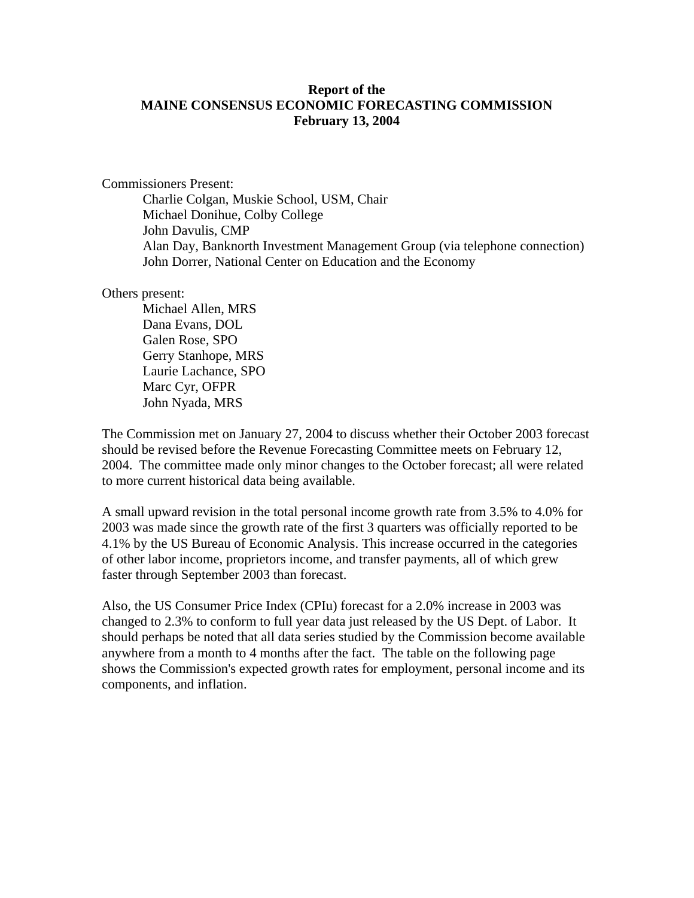#### **Report of the MAINE CONSENSUS ECONOMIC FORECASTING COMMISSION February 13, 2004**

Commissioners Present:

 Charlie Colgan, Muskie School, USM, Chair Michael Donihue, Colby College John Davulis, CMP Alan Day, Banknorth Investment Management Group (via telephone connection) John Dorrer, National Center on Education and the Economy

Others present:

 Michael Allen, MRS Dana Evans, DOL Galen Rose, SPO Gerry Stanhope, MRS Laurie Lachance, SPO Marc Cyr, OFPR John Nyada, MRS

The Commission met on January 27, 2004 to discuss whether their October 2003 forecast should be revised before the Revenue Forecasting Committee meets on February 12, 2004. The committee made only minor changes to the October forecast; all were related to more current historical data being available.

A small upward revision in the total personal income growth rate from 3.5% to 4.0% for 2003 was made since the growth rate of the first 3 quarters was officially reported to be 4.1% by the US Bureau of Economic Analysis. This increase occurred in the categories of other labor income, proprietors income, and transfer payments, all of which grew faster through September 2003 than forecast.

Also, the US Consumer Price Index (CPIu) forecast for a 2.0% increase in 2003 was changed to 2.3% to conform to full year data just released by the US Dept. of Labor. It should perhaps be noted that all data series studied by the Commission become available anywhere from a month to 4 months after the fact. The table on the following page shows the Commission's expected growth rates for employment, personal income and its components, and inflation.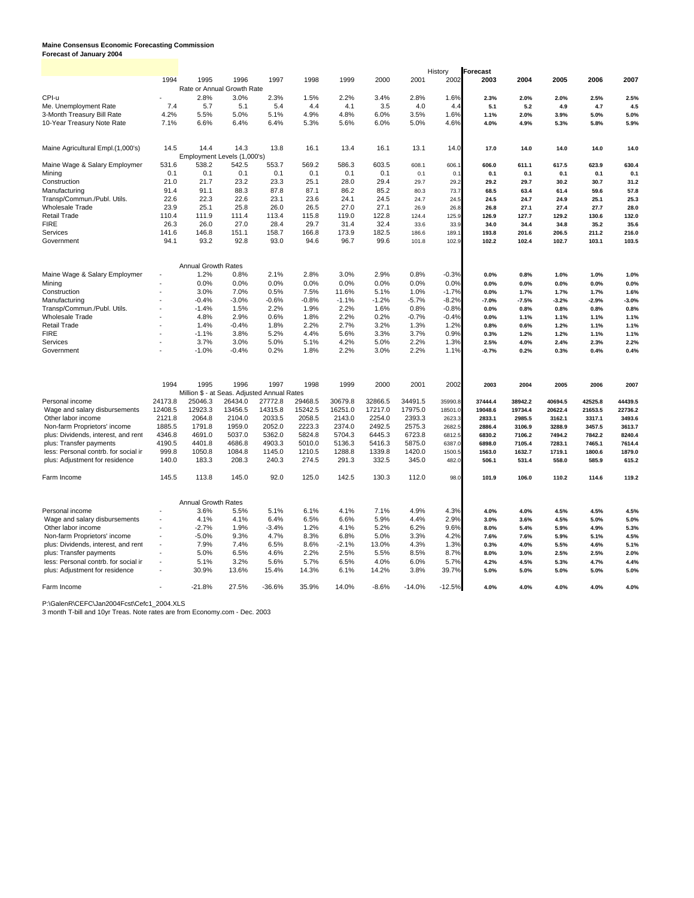### **Maine Consensus Economic Forecasting Commission Forecast of January 2004**

|                                      |         |                            |                                             |          |         |         |         |          | History  | <b>Forecast</b> |         |         |         |         |
|--------------------------------------|---------|----------------------------|---------------------------------------------|----------|---------|---------|---------|----------|----------|-----------------|---------|---------|---------|---------|
|                                      | 1994    | 1995                       | 1996                                        | 1997     | 1998    | 1999    | 2000    | 2001     | 2002     | 2003            | 2004    | 2005    | 2006    | 2007    |
|                                      |         |                            | Rate or Annual Growth Rate                  |          |         |         |         |          |          |                 |         |         |         |         |
| CPI-u                                |         | 2.8%                       | 3.0%                                        | 2.3%     | 1.5%    | 2.2%    | 3.4%    | 2.8%     | 1.6%     | 2.3%            | 2.0%    | 2.0%    | 2.5%    | 2.5%    |
| Me. Unemployment Rate                | 7.4     | 5.7                        | 5.1                                         | 5.4      | 4.4     | 4.1     | 3.5     | 4.0      | 4.4      | 5.1             | 5.2     | 4.9     | 4.7     | 4.5     |
| 3-Month Treasury Bill Rate           | 4.2%    | 5.5%                       | 5.0%                                        | 5.1%     | 4.9%    | 4.8%    | 6.0%    | 3.5%     | 1.6%     | 1.1%            | 2.0%    | 3.9%    | 5.0%    | 5.0%    |
| 10-Year Treasury Note Rate           | 7.1%    | 6.6%                       | 6.4%                                        | 6.4%     | 5.3%    | 5.6%    | 6.0%    | 5.0%     | 4.6%     | 4.0%            | 4.9%    | 5.3%    | 5.8%    | 5.9%    |
|                                      |         |                            |                                             |          |         |         |         |          |          |                 |         |         |         |         |
| Maine Agricultural Empl.(1,000's)    | 14.5    | 14.4                       | 14.3                                        | 13.8     | 16.1    | 13.4    | 16.1    | 13.1     | 14.0     | 17.0            | 14.0    | 14.0    | 14.0    | 14.0    |
|                                      |         |                            | Employment Levels (1,000's)                 |          |         |         |         |          |          |                 |         |         |         |         |
| Maine Wage & Salary Employmen        | 531.6   | 538.2                      | 542.5                                       | 553.7    | 569.2   | 586.3   | 603.5   | 608.1    | 606.     | 606.0           | 611.1   | 617.5   | 623.9   | 630.4   |
| Mining                               | 0.1     | 0.1                        | 0.1                                         | 0.1      | 0.1     | 0.1     | 0.1     | 0.1      | 0.       | 0.1             | 0.1     | 0.1     | 0.1     | 0.1     |
| Construction                         | 21.0    | 21.7                       | 23.2                                        | 23.3     | 25.1    | 28.0    | 29.4    | 29.7     | 29.2     | 29.2            | 29.7    | 30.2    | 30.7    | 31.2    |
| Manufacturing                        | 91.4    | 91.1                       | 88.3                                        | 87.8     | 87.1    | 86.2    | 85.2    | 80.3     | 73.7     | 68.5            | 63.4    | 61.4    | 59.6    | 57.8    |
| Transp/Commun./Publ. Utils.          | 22.6    | 22.3                       | 22.6                                        | 23.1     | 23.6    | 24.1    | 24.5    | 24.7     | 24.5     | 24.5            | 24.7    | 24.9    | 25.1    | 25.3    |
| <b>Wholesale Trade</b>               | 23.9    | 25.1                       | 25.8                                        | 26.0     | 26.5    | 27.0    | 27.1    | 26.9     | 26.8     | 26.8            | 27.1    | 27.4    | 27.7    | 28.0    |
| <b>Retail Trade</b>                  | 110.4   | 111.9                      | 111.4                                       | 113.4    | 115.8   | 119.0   | 122.8   | 124.4    | 125.9    | 126.9           | 127.7   | 129.2   | 130.6   | 132.0   |
| <b>FIRE</b>                          | 26.3    | 26.0                       | 27.0                                        | 28.4     | 29.7    | 31.4    | 32.4    | 33.6     | 33.9     | 34.0            | 34.4    | 34.8    | 35.2    | 35.6    |
| Services                             | 141.6   | 146.8                      | 151.1                                       | 158.7    | 166.8   | 173.9   | 182.5   | 186.6    | 189.     | 193.8           | 201.6   | 206.5   | 211.2   | 216.0   |
| Government                           | 94.1    | 93.2                       | 92.8                                        | 93.0     | 94.6    | 96.7    | 99.6    | 101.8    | 102.9    | 102.2           | 102.4   | 102.7   | 103.1   | 103.5   |
|                                      |         |                            |                                             |          |         |         |         |          |          |                 |         |         |         |         |
|                                      |         | Annual Growth Rates        |                                             |          |         |         |         |          |          |                 |         |         |         |         |
| Maine Wage & Salary Employmen        |         | 1.2%                       | 0.8%                                        | 2.1%     | 2.8%    | 3.0%    | 2.9%    | 0.8%     | $-0.3%$  | 0.0%            | 0.8%    | 1.0%    | 1.0%    | 1.0%    |
| Minina                               |         | 0.0%                       | 0.0%                                        | 0.0%     | 0.0%    | 0.0%    | 0.0%    | 0.0%     | 0.0%     | 0.0%            | 0.0%    | 0.0%    | 0.0%    | 0.0%    |
| Construction                         |         | 3.0%                       | 7.0%                                        | 0.5%     | 7.5%    | 11.6%   | 5.1%    | 1.0%     | $-1.7%$  | 0.0%            | 1.7%    | 1.7%    | 1.7%    | 1.6%    |
| Manufacturing                        |         | $-0.4%$                    | $-3.0%$                                     | $-0.6%$  | $-0.8%$ | $-1.1%$ | $-1.2%$ | $-5.7%$  | $-8.2%$  | $-7.0%$         | $-7.5%$ | $-3.2%$ | $-2.9%$ | $-3.0%$ |
| Transp/Commun./Publ. Utils.          |         | $-1.4%$                    | 1.5%                                        | 2.2%     | 1.9%    | 2.2%    | 1.6%    | 0.8%     | $-0.8%$  | 0.0%            | 0.8%    | 0.8%    | 0.8%    | 0.8%    |
| <b>Wholesale Trade</b>               |         | 4.8%                       | 2.9%                                        | 0.6%     | 1.8%    | 2.2%    | 0.2%    | $-0.7%$  | $-0.4%$  | 0.0%            | 1.1%    | 1.1%    | 1.1%    | 1.1%    |
| <b>Retail Trade</b>                  |         | 1.4%                       | $-0.4%$                                     | 1.8%     | 2.2%    | 2.7%    | 3.2%    | 1.3%     | 1.2%     | 0.8%            | 0.6%    | 1.2%    | 1.1%    | 1.1%    |
| <b>FIRE</b>                          |         | $-1.1%$                    | 3.8%                                        | 5.2%     | 4.4%    | 5.6%    | 3.3%    | 3.7%     | 0.9%     | 0.3%            | 1.2%    | 1.2%    | 1.1%    | 1.1%    |
| Services                             |         | 3.7%                       | 3.0%                                        | 5.0%     | 5.1%    | 4.2%    | 5.0%    | 2.2%     | 1.3%     | 2.5%            | 4.0%    | 2.4%    | 2.3%    | 2.2%    |
| Government                           |         | $-1.0%$                    | $-0.4%$                                     | 0.2%     | 1.8%    | 2.2%    | 3.0%    | 2.2%     | 1.1%     | $-0.7%$         | 0.2%    | 0.3%    | 0.4%    | 0.4%    |
|                                      |         |                            |                                             |          |         |         |         |          |          |                 |         |         |         |         |
|                                      | 1994    | 1995                       | 1996                                        | 1997     | 1998    | 1999    | 2000    | 2001     | 2002     | 2003            | 2004    | 2005    | 2006    | 2007    |
|                                      |         |                            | Million \$ - at Seas. Adjusted Annual Rates |          |         |         |         |          |          |                 |         |         |         |         |
| Personal income                      | 24173.8 | 25046.3                    | 26434.0                                     | 27772.8  | 29468.5 | 30679.8 | 32866.5 | 34491.5  | 35990.8  | 37444.4         | 38942.2 | 40694.5 | 42525.8 | 44439.5 |
| Wage and salary disbursements        | 12408.5 | 12923.3                    | 13456.5                                     | 14315.8  | 15242.5 | 16251.0 | 17217.0 | 17975.0  | 18501.0  | 19048.6         | 19734.4 | 20622.4 | 21653.5 | 22736.2 |
| Other labor income                   | 2121.8  | 2064.8                     | 2104.0                                      | 2033.5   | 2058.5  | 2143.0  | 2254.0  | 2393.3   | 2623.    | 2833.1          | 2985.5  | 3162.1  | 3317.1  | 3493.6  |
| Non-farm Proprietors' income         | 1885.5  | 1791.8                     | 1959.0                                      | 2052.0   | 2223.3  | 2374.0  | 2492.5  | 2575.3   | 2682.    | 2886.4          | 3106.9  | 3288.9  | 3457.5  | 3613.7  |
| plus: Dividends, interest, and rent  | 4346.8  | 4691.0                     | 5037.0                                      | 5362.0   | 5824.8  | 5704.3  | 6445.3  | 6723.8   | 6812.5   | 6830.2          | 7106.2  | 7494.2  | 7842.2  | 8240.4  |
| plus: Transfer payments              | 4190.5  | 4401.8                     | 4686.8                                      | 4903.3   | 5010.0  | 5136.3  | 5416.3  | 5875.0   | 6387.0   | 6898.0          | 7105.4  | 7283.1  | 7465.1  | 7614.4  |
| less: Personal contrb. for social in | 999.8   | 1050.8                     | 1084.8                                      | 1145.0   | 1210.5  | 1288.8  | 1339.8  | 1420.0   | 1500.5   | 1563.0          | 1632.7  | 1719.1  | 1800.6  | 1879.0  |
| plus: Adjustment for residence       | 140.0   | 183.3                      | 208.3                                       | 240.3    | 274.5   | 291.3   | 332.5   | 345.0    | 482.0    | 506.1           | 531.4   | 558.0   | 585.9   | 615.2   |
| Farm Income                          | 145.5   | 113.8                      | 145.0                                       | 92.0     | 125.0   | 142.5   | 130.3   | 112.0    | 98.0     | 101.9           | 106.0   | 110.2   | 114.6   | 119.2   |
|                                      |         | <b>Annual Growth Rates</b> |                                             |          |         |         |         |          |          |                 |         |         |         |         |
| Personal income                      |         | 3.6%                       | 5.5%                                        | 5.1%     | 6.1%    | 4.1%    | 7.1%    | 4.9%     | 4.3%     | 4.0%            | 4.0%    | 4.5%    | 4.5%    | 4.5%    |
| Wage and salary disbursements        |         | 4.1%                       | 4.1%                                        | 6.4%     | 6.5%    | 6.6%    | 5.9%    | 4.4%     | 2.9%     | 3.0%            | 3.6%    | 4.5%    | 5.0%    | 5.0%    |
| Other labor income                   |         | $-2.7%$                    | 1.9%                                        | $-3.4%$  | 1.2%    | 4.1%    | 5.2%    | 6.2%     | 9.6%     | 8.0%            | 5.4%    | 5.9%    | 4.9%    | 5.3%    |
| Non-farm Proprietors' income         |         | $-5.0%$                    | 9.3%                                        | 4.7%     | 8.3%    | 6.8%    | 5.0%    | 3.3%     | 4.2%     | 7.6%            | 7.6%    | 5.9%    | 5.1%    | 4.5%    |
|                                      |         | 7.9%                       | 7.4%                                        | 6.5%     | 8.6%    | $-2.1%$ | 13.0%   | 4.3%     | 1.3%     |                 |         |         |         | 5.1%    |
| plus: Dividends, interest, and rent  |         |                            |                                             |          |         |         |         |          |          | 0.3%            | 4.0%    | 5.5%    | 4.6%    |         |
| plus: Transfer payments              |         | 5.0%                       | 6.5%                                        | 4.6%     | 2.2%    | 2.5%    | 5.5%    | 8.5%     | 8.7%     | 8.0%            | 3.0%    | 2.5%    | 2.5%    | 2.0%    |
| less: Personal contrb. for social in |         | 5.1%                       | 3.2%                                        | 5.6%     | 5.7%    | 6.5%    | 4.0%    | 6.0%     | 5.7%     | 4.2%            | 4.5%    | 5.3%    | 4.7%    | 4.4%    |
| plus: Adjustment for residence       |         | 30.9%                      | 13.6%                                       | 15.4%    | 14.3%   | 6.1%    | 14.2%   | 3.8%     | 39.7%    | 5.0%            | 5.0%    | 5.0%    | 5.0%    | 5.0%    |
| Farm Income                          |         | $-21.8%$                   | 27.5%                                       | $-36.6%$ | 35.9%   | 14.0%   | $-8.6%$ | $-14.0%$ | $-12.5%$ | 4.0%            | 4.0%    | 4.0%    | 4.0%    | 4.0%    |

P:\GalenR\CEFC\Jan2004Fcst\Cefc1\_2004.XLS 3 month T-bill and 10yr Treas. Note rates are from Economy.com - Dec. 2003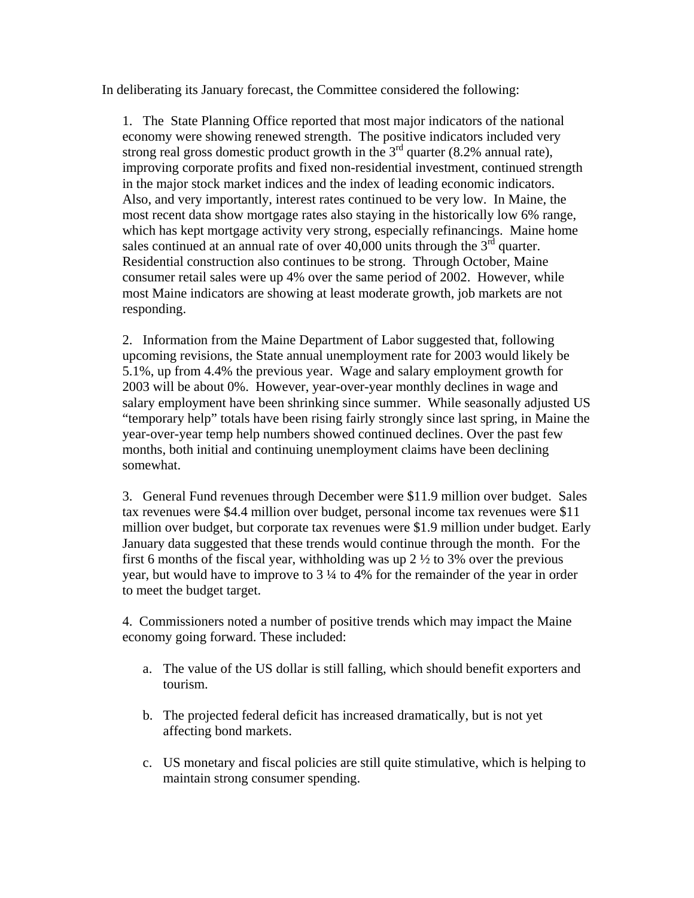In deliberating its January forecast, the Committee considered the following:

1. The State Planning Office reported that most major indicators of the national economy were showing renewed strength. The positive indicators included very strong real gross domestic product growth in the  $3<sup>rd</sup>$  quarter (8.2% annual rate), improving corporate profits and fixed non-residential investment, continued strength in the major stock market indices and the index of leading economic indicators. Also, and very importantly, interest rates continued to be very low. In Maine, the most recent data show mortgage rates also staying in the historically low 6% range, which has kept mortgage activity very strong, especially refinancings. Maine home sales continued at an annual rate of over 40,000 units through the  $3<sup>rd</sup>$  quarter. Residential construction also continues to be strong. Through October, Maine consumer retail sales were up 4% over the same period of 2002. However, while most Maine indicators are showing at least moderate growth, job markets are not responding.

2. Information from the Maine Department of Labor suggested that, following upcoming revisions, the State annual unemployment rate for 2003 would likely be 5.1%, up from 4.4% the previous year. Wage and salary employment growth for 2003 will be about 0%. However, year-over-year monthly declines in wage and salary employment have been shrinking since summer. While seasonally adjusted US "temporary help" totals have been rising fairly strongly since last spring, in Maine the year-over-year temp help numbers showed continued declines. Over the past few months, both initial and continuing unemployment claims have been declining somewhat.

3. General Fund revenues through December were \$11.9 million over budget. Sales tax revenues were \$4.4 million over budget, personal income tax revenues were \$11 million over budget, but corporate tax revenues were \$1.9 million under budget. Early January data suggested that these trends would continue through the month. For the first 6 months of the fiscal year, withholding was up  $2\frac{1}{2}$  to 3% over the previous year, but would have to improve to 3 ¼ to 4% for the remainder of the year in order to meet the budget target.

4. Commissioners noted a number of positive trends which may impact the Maine economy going forward. These included:

- a. The value of the US dollar is still falling, which should benefit exporters and tourism.
- b. The projected federal deficit has increased dramatically, but is not yet affecting bond markets.
- c. US monetary and fiscal policies are still quite stimulative, which is helping to maintain strong consumer spending.